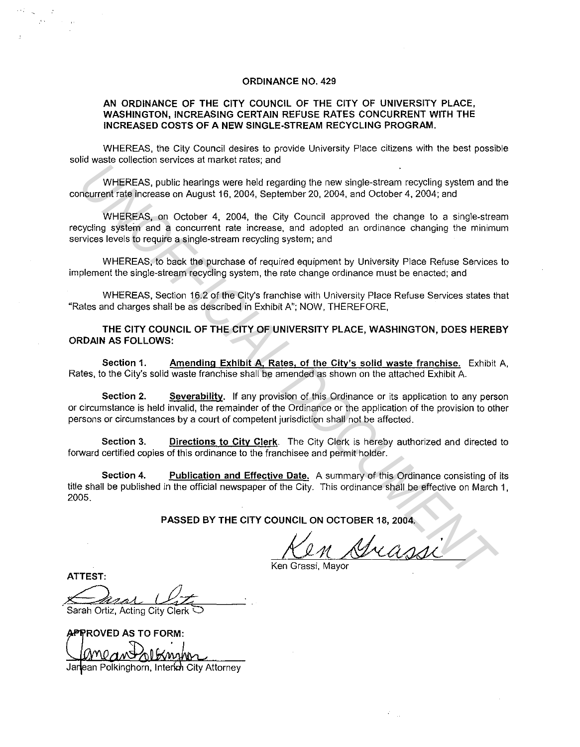## **ORDINANCE NO. 429**

## **AN ORDINANCE OF THE CITY COUNCIL OF THE CITY OF UNIVERSITY PLACE, WASHINGTON, INCREASING CERTAIN REFUSE RATES CONCURRENT WITH THE INCREASED COSTS OF A NEW SINGLE-STREAM RECYCLING PROGRAM.**

WHEREAS, the City Council desires to provide University Place citizens with the best possible solid waste collection services at market rates; and

WHEREAS, public hearings were held regarding the new single-stream recycling system and the concurrent rate increase on August 16, 2004, September 20, 2004, and October 4, 2004; and

WHEREAS, on October 4, 2004, the City Council approved the change to a single-stream recycling system and a concurrent rate increase, and adopted an ordinance changing the minimum services levels to require a single-stream recycling system; and

WHEREAS, to back the purchase of required equipment by University Place Refuse Services to implement the single-stream recycling system, the rate change ordinance must be enacted; and

WHEREAS, Section 16.2 of the City's franchise with University Place Refuse Services states that "Rates and charges shall be as described in Exhibit A"; NOW, THEREFORE,

**THE CITY COUNCIL OF THE CITY OF UNIVERSITY PLACE, WASHINGTON, DOES HEREBY ORDAIN AS FOLLOWS:** 

**Section 1. Amending Exhibit A, Rates, of the City's solid waste franchise.** Exhibit A, Rates, to the City's solid waste franchise shall be amended as shown on the attached Exhibit A.

**Section 2.** Severability. If any provision of this Ordinance or its application to any person or circumstance is held invalid, the remainder of the Ordinance or the application of the provision to other persons or circumstances by a court of competent jurisdiction shall not be affected. WHEREAS, public hearings were held regarding the new single-stream recycling system and the current rate lncrease on August 16, 2004, the City Council approved the change to a single-stream recycling system and WHEREAS, on

**Section 3.** Directions to City Clerk. The City Clerk is hereby authorized and directed to forward certified copies of this ordinance to the franchisee and permit holder.

**Section 4.** Publication and Effective Date. A summary of this Ordinance consisting of its title shall be published in the official newspaper of the City. This ordinance shall be effective on March **1,**  2005.

**PASSED BY THE CITY COUNCIL ON OCTOBER 18, 2004.** 

Ken Grassi, Mayor

**ATTEST:** 

Sarah Ortiz, Acting City Clerk

APPROVED AS TO FORM:

Janean Polkinghorn, Interkn City Attorney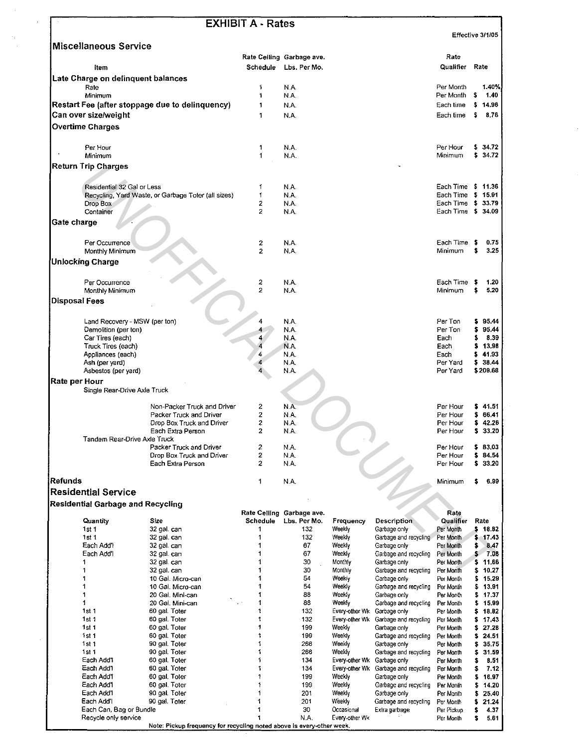|                                                                                                 |                               |                                                     | <b>EXHIBIT A - Rates</b> |                                           |                   |                                       | Effective 3/1/05       |         |                                                                                                                                                                                                                                                                                                                     |
|-------------------------------------------------------------------------------------------------|-------------------------------|-----------------------------------------------------|--------------------------|-------------------------------------------|-------------------|---------------------------------------|------------------------|---------|---------------------------------------------------------------------------------------------------------------------------------------------------------------------------------------------------------------------------------------------------------------------------------------------------------------------|
| <b>Miscellaneous Service</b>                                                                    |                               |                                                     |                          |                                           |                   |                                       |                        |         |                                                                                                                                                                                                                                                                                                                     |
| <b>Item</b>                                                                                     |                               |                                                     | Schedule                 | Rate Ceiling Garbage ave.<br>Lbs. Per Mo. |                   |                                       | Rate<br>Qualifier      |         | Rate                                                                                                                                                                                                                                                                                                                |
| Late Charge on delinquent balances                                                              |                               |                                                     |                          |                                           |                   |                                       |                        |         |                                                                                                                                                                                                                                                                                                                     |
| Rate                                                                                            |                               |                                                     | 1                        | N.A.                                      |                   |                                       | Per Month              |         | 1.40%                                                                                                                                                                                                                                                                                                               |
| Minimum                                                                                         |                               |                                                     | 1                        | N.A.                                      |                   |                                       | Per Month              | \$      | 1.40                                                                                                                                                                                                                                                                                                                |
|                                                                                                 |                               | Restart Fee (after stoppage due to delinquency)     | 1                        | N.A.                                      |                   |                                       | Each time              | \$      | 14.96                                                                                                                                                                                                                                                                                                               |
| Can over size/weight                                                                            |                               |                                                     | 1                        | N.A.                                      |                   |                                       | Each time              | \$      | 8.76                                                                                                                                                                                                                                                                                                                |
| <b>Overtime Charges</b>                                                                         |                               |                                                     |                          |                                           |                   |                                       |                        |         |                                                                                                                                                                                                                                                                                                                     |
|                                                                                                 |                               |                                                     |                          |                                           |                   |                                       |                        |         |                                                                                                                                                                                                                                                                                                                     |
| Per Hour                                                                                        |                               |                                                     | 1                        | N.A.                                      |                   |                                       | Per Hour               |         | 5, 34.72                                                                                                                                                                                                                                                                                                            |
| Minimum                                                                                         |                               |                                                     | 1                        | N.A.                                      |                   |                                       | Minimum                |         | \$34.72                                                                                                                                                                                                                                                                                                             |
| <b>Return Trip Charges</b>                                                                      |                               |                                                     |                          |                                           |                   |                                       |                        |         |                                                                                                                                                                                                                                                                                                                     |
|                                                                                                 | Residential 32 Gal or Less    |                                                     | 1                        | N.A.                                      |                   |                                       | Each Time \$ 11.36     |         |                                                                                                                                                                                                                                                                                                                     |
|                                                                                                 |                               | Recycling, Yard Waste, or Garbage Toter (all sizes) | 1                        | N.A.                                      |                   |                                       | Each Time              | \$15.91 |                                                                                                                                                                                                                                                                                                                     |
| Drop Box                                                                                        |                               |                                                     | 2                        | N.A.                                      |                   |                                       | Each Time \$ 33.79     |         |                                                                                                                                                                                                                                                                                                                     |
| Container                                                                                       |                               |                                                     | 2                        | N.A.                                      |                   |                                       | Each Time \$ 34.09     |         |                                                                                                                                                                                                                                                                                                                     |
| Gate charge                                                                                     |                               |                                                     |                          |                                           |                   |                                       |                        |         |                                                                                                                                                                                                                                                                                                                     |
|                                                                                                 |                               |                                                     |                          |                                           |                   |                                       |                        |         |                                                                                                                                                                                                                                                                                                                     |
| Per Occurrence                                                                                  |                               |                                                     | 2                        | N.A.                                      |                   |                                       | Each Time              | -5      | 0.75<br>3.25                                                                                                                                                                                                                                                                                                        |
|                                                                                                 | Monthly Minimum               |                                                     | $\overline{2}$           | N.A.                                      |                   |                                       | Minimum                | s       |                                                                                                                                                                                                                                                                                                                     |
| <b>Unlocking Charge</b>                                                                         |                               |                                                     |                          |                                           |                   |                                       |                        |         |                                                                                                                                                                                                                                                                                                                     |
| Per Occurrence                                                                                  |                               |                                                     | 2                        | N.A.                                      |                   |                                       | Each Time              | s       | 1.20                                                                                                                                                                                                                                                                                                                |
|                                                                                                 | Monthly Minimum               |                                                     | $\overline{2}$           | N.A.                                      |                   |                                       | Minimum                | s       | 5.20                                                                                                                                                                                                                                                                                                                |
| <b>Disposal Fees</b>                                                                            |                               |                                                     |                          |                                           |                   |                                       |                        |         |                                                                                                                                                                                                                                                                                                                     |
|                                                                                                 |                               |                                                     |                          |                                           |                   |                                       |                        |         |                                                                                                                                                                                                                                                                                                                     |
|                                                                                                 | Land Recovery - MSW (per ton) |                                                     |                          | N.A.                                      |                   |                                       | Per Ton                |         | \$95,44                                                                                                                                                                                                                                                                                                             |
|                                                                                                 | Demolition (per ton)          |                                                     |                          | N.A.                                      |                   |                                       | Per Ton                | s.      | 95.44                                                                                                                                                                                                                                                                                                               |
| Car Tires (each)                                                                                |                               |                                                     |                          | N.A.                                      |                   |                                       | Each                   |         | 8.39                                                                                                                                                                                                                                                                                                                |
|                                                                                                 | Truck Tires (each)            |                                                     | 4                        | N.A.                                      |                   |                                       | Each                   | s.      | 13.98                                                                                                                                                                                                                                                                                                               |
|                                                                                                 | Appliances (each)             |                                                     | 4                        | N.A.                                      |                   |                                       | Each                   |         | \$41.93                                                                                                                                                                                                                                                                                                             |
| Ash (per yard)                                                                                  | Asbestos (per yard)           |                                                     |                          | N.A.<br>N.A.                              |                   |                                       | Per Yard<br>Per Yard   |         | \$38.44<br>\$209.68                                                                                                                                                                                                                                                                                                 |
| Rate per Hour                                                                                   |                               |                                                     |                          |                                           |                   |                                       |                        |         |                                                                                                                                                                                                                                                                                                                     |
|                                                                                                 | Single Rear-Drive Axle Truck  |                                                     |                          |                                           |                   |                                       |                        |         |                                                                                                                                                                                                                                                                                                                     |
|                                                                                                 |                               |                                                     |                          |                                           |                   |                                       |                        |         |                                                                                                                                                                                                                                                                                                                     |
|                                                                                                 |                               |                                                     |                          |                                           |                   |                                       |                        |         |                                                                                                                                                                                                                                                                                                                     |
|                                                                                                 |                               | Non-Packer Truck and Driver                         | 2                        | N.A.                                      |                   |                                       | Per Hour               |         |                                                                                                                                                                                                                                                                                                                     |
|                                                                                                 |                               | Packer Truck and Driver                             | 2                        | N.A.                                      |                   |                                       | Per Hour               | \$.     |                                                                                                                                                                                                                                                                                                                     |
|                                                                                                 |                               | Drop Box Truck and Driver<br>Each Extra Person      | 2<br>2                   | N.A.<br>N.A.                              |                   |                                       | Per Hour               |         |                                                                                                                                                                                                                                                                                                                     |
|                                                                                                 | Tandem Rear-Drive Axle Truck  |                                                     |                          |                                           |                   |                                       | Per Hour               |         |                                                                                                                                                                                                                                                                                                                     |
|                                                                                                 |                               | Packer Truck and Driver                             | $\overline{c}$           | NA.                                       |                   |                                       | Per Hour               |         |                                                                                                                                                                                                                                                                                                                     |
|                                                                                                 |                               | Orop Box Truck and Driver                           | $\overline{2}$           | N.A.                                      |                   |                                       | Per Hour               |         |                                                                                                                                                                                                                                                                                                                     |
|                                                                                                 |                               | Each Extra Person                                   | $\overline{2}$           | N.A.                                      |                   |                                       | Per Hour               |         |                                                                                                                                                                                                                                                                                                                     |
|                                                                                                 |                               |                                                     | 1                        | N.A.                                      |                   |                                       | Minimum                | s.      |                                                                                                                                                                                                                                                                                                                     |
|                                                                                                 |                               |                                                     |                          |                                           |                   |                                       |                        |         |                                                                                                                                                                                                                                                                                                                     |
|                                                                                                 |                               |                                                     |                          |                                           |                   |                                       |                        |         |                                                                                                                                                                                                                                                                                                                     |
|                                                                                                 |                               |                                                     |                          | Rate Celling Garbage ave.                 |                   |                                       | Rate                   |         |                                                                                                                                                                                                                                                                                                                     |
| Quantity                                                                                        | Size                          |                                                     | <b>Schedule</b>          | Lbs. Per Mo.                              | Frequency         | <b>Description</b>                    | Qualifier              |         |                                                                                                                                                                                                                                                                                                                     |
| 1st 1                                                                                           |                               | 32 gal. can                                         | 1                        | 132                                       | Weekly            | Garbage only                          | Per Month              |         |                                                                                                                                                                                                                                                                                                                     |
| 1st1                                                                                            |                               | 32 gal. can                                         | 1                        | 132                                       | Weekly            | Garbage and recycling                 | Per Month              |         |                                                                                                                                                                                                                                                                                                                     |
| Each Add'h                                                                                      |                               | 32 gal. can                                         | 1<br>1                   | 67                                        | Weekly            | Garbage only                          | Per Month              | \$.     |                                                                                                                                                                                                                                                                                                                     |
| Each Add'l                                                                                      |                               | 32 gal. can                                         | 1                        | 67                                        | Weekly            | Garbage and recycling                 | Per Month              |         |                                                                                                                                                                                                                                                                                                                     |
| 1<br>$\mathbf{1}$                                                                               |                               | 32 gal. can                                         | 1                        | 30                                        | Monthly           | Garbage only                          | Per Month              | \$.     |                                                                                                                                                                                                                                                                                                                     |
| 1.                                                                                              |                               | 32 gal. can<br>10 Gal. Micro-can                    | 1                        | 30<br>54                                  | Monthly<br>Weekly | Garbage and recycling<br>Garbage only | Per Month<br>Per Month |         |                                                                                                                                                                                                                                                                                                                     |
| 1                                                                                               |                               | 10 Gal. Micro-can                                   | 1                        | 54                                        | Weekly            | Garbage and recycling                 | Per Month              | \$.     |                                                                                                                                                                                                                                                                                                                     |
| 1                                                                                               |                               | 20 Gal. Mini-can                                    | 1                        | 88                                        | Weekly            | Garbage only                          | Per Month              |         |                                                                                                                                                                                                                                                                                                                     |
| $\mathbf{1}$                                                                                    |                               | 20 Gal. Mini-can                                    | 1                        | 88                                        | Weekly            | Garbage and recycling                 | Per Month              | \$.     |                                                                                                                                                                                                                                                                                                                     |
| 1st1                                                                                            |                               | 60 gal. Toter                                       | 1                        | 132 <sub>1</sub>                          | Every-other Wk    | Garbage only                          | Per Month              | s.      |                                                                                                                                                                                                                                                                                                                     |
| 1st1                                                                                            |                               | 60 gal. Toter                                       |                          | 132                                       | Every-other Wk    | Garbage and recycling                 | Per Month              | s.      |                                                                                                                                                                                                                                                                                                                     |
| 1st1                                                                                            |                               | 60 gal. Toter                                       | 1                        | 199                                       | Weekly            | Garbage only                          | Per Month              | s.      |                                                                                                                                                                                                                                                                                                                     |
| 1st 1                                                                                           |                               | 60 gal. Toter                                       | 1                        | 199                                       | Weekly            | Garbage and recycling                 | Per Month              | \$.     |                                                                                                                                                                                                                                                                                                                     |
| 1 st 1                                                                                          |                               | 90 gal. Toter                                       | 1                        | 266                                       | Weekly            | Garbage only                          | Per Month              | \$      |                                                                                                                                                                                                                                                                                                                     |
| 1st 1                                                                                           |                               | 90 gal. Toter                                       | 1                        | 266                                       | Weekly            | Garbage and recycling                 | Per Month              | \$      |                                                                                                                                                                                                                                                                                                                     |
| Each Add'l                                                                                      |                               | 60 gal. Toter                                       | 1                        | 134                                       | Every other Wk    | Garbage only                          | Per Month              | \$      |                                                                                                                                                                                                                                                                                                                     |
| Each Add'l                                                                                      |                               | 60 gal. Toter                                       |                          | 134                                       | Every-other Wk    | Garbage and recycling                 | Per Month              | \$      |                                                                                                                                                                                                                                                                                                                     |
| Refunds<br><b>Residential Service</b><br><b>Residential Garbage and Recycling</b><br>Each Add'l |                               | 60 gal. Toter                                       |                          | 199                                       | Weekly            | Garbage only                          | Per Month              | \$      |                                                                                                                                                                                                                                                                                                                     |
| Each Add'l<br>Each Add'l                                                                        |                               | 60 gal. Toter<br>90 gal. Toter                      |                          | 199<br>201                                | Weekly<br>Weekly  | Garbage and recycling<br>Garbage only | Per Month<br>Per Month | s.<br>s |                                                                                                                                                                                                                                                                                                                     |
| Each Add'l                                                                                      |                               | 90 gal. Toter                                       | 1                        | 201                                       | Weekly            | Garbage and recycling                 | Per Month              | \$      |                                                                                                                                                                                                                                                                                                                     |
|                                                                                                 | Each Can, Bag or Bundle       |                                                     |                          | 30                                        | Occasional        | Extra garbage                         | Per Pickup             | \$      | \$41.51<br>66.41<br>\$42.26<br>\$33.20<br>\$83,03<br>\$84.54<br>\$33.20<br>6.99<br>Rate<br>\$18.82<br>\$17.43<br>8.47<br>$5 - 7.08$<br>11.66<br>\$10.27<br>\$15.29<br>13.91<br>$5$ 17.37<br>15.99<br>18.82<br>17.43<br>27.28<br>24.51<br>35.75<br>31.59<br>8.51<br>7.12<br>16,97<br>14.20<br>25.40<br>21.24<br>4.37 |

 $\mathcal{L}_{\mathcal{A}}$ 

 $\frac{d\mathbf{r}}{dt}$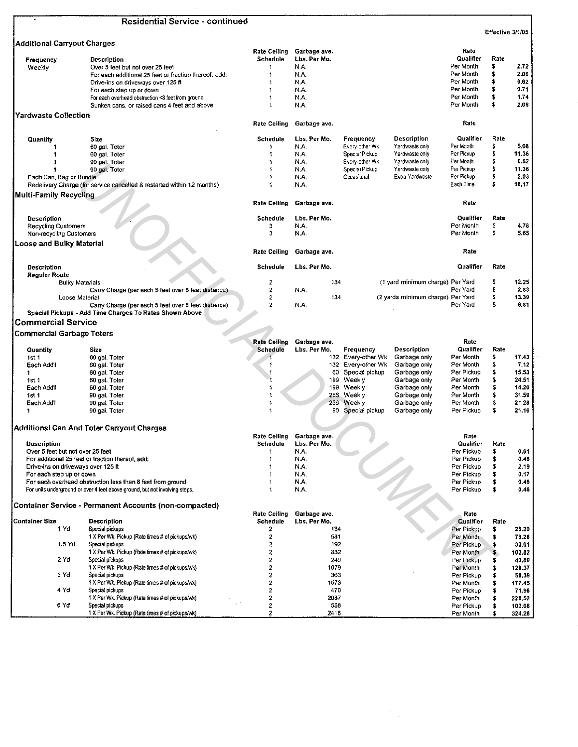|                                    | Residential Service - continued                                             |                         |                     |                                    |                         |                  |        |
|------------------------------------|-----------------------------------------------------------------------------|-------------------------|---------------------|------------------------------------|-------------------------|------------------|--------|
|                                    |                                                                             |                         |                     |                                    |                         | Effective 3/1/05 |        |
| <b>Additional Carryout Charges</b> |                                                                             | Rate Ceiling            | Garbage ave.        |                                    | Rate                    |                  |        |
| Frequency                          | Description                                                                 | Schedule                | Lbs. Per Mo.        |                                    | Qualifier               | Rate             |        |
| Weekly                             | Over 5 feet but not over 25 feet                                            | 1                       | N.A.                |                                    | Per Month               | \$               | 2.72   |
|                                    | For each additional 25 feet or fraction thereof, add:                       | 1                       | N.A.                |                                    | Per Month               | \$               | 2,06   |
|                                    | Drive-ins on driveways over 125 ft                                          |                         | N.A.                |                                    | Per Month               | s                | 9.62   |
|                                    | For each step up or down                                                    | 1                       | N.A.                |                                    | Per Month               | s                | 0.71   |
|                                    | For each overhead obstruction <8 feet from ground                           |                         | N.A.                |                                    | Per Month               | \$               | 1.74   |
|                                    | Sunken cans, or raised cans 4 feet and above                                |                         | N.A.                |                                    | Per Month               | s                | 2.06   |
| Yardwaste Collection               |                                                                             | <b>Rate Ceiling</b>     | Garbage ave.        |                                    | Rate                    |                  |        |
| Quantity                           | Size                                                                        | <b>Schedule</b>         | Lbs. Per Mo.        | Frequency<br>Description           | Qualifier               | Rate             |        |
| 1                                  | 60 gal. Toter                                                               | $\mathbf 1$             | N.A.                | Yardwaste only<br>Every-other Wk   | Per Month               | \$               | 5.08   |
|                                    | 60 gal. Toter                                                               |                         | N.A.                | Special Pickup<br>Yardwaste only   | Per Pickup              |                  | 11.36  |
|                                    | 90 gal. Toter                                                               |                         | N.A.                | Every-other Wk<br>Yardwaste only   | Per Month               | s                | 6.62   |
| 1                                  | 90 gal. Toter                                                               |                         | N.A.                | Yardwaste only<br>Special Pickup   | Per Pickup              | \$               | 11.36  |
| Each Can, Bag or Bundle            |                                                                             |                         | N.A.                | Occasional<br>Extra Yardwaste      | Per Pickup              | s                | 2.03   |
|                                    | Redelivery Charge (for service cancelled & restarted within 12 months)      |                         | N.A.                |                                    | Each Time               | s                | 18.17  |
| Multi-Family Recycling             |                                                                             | <b>Rate Ceiling</b>     | Garbage ave.        |                                    | Rate                    |                  |        |
|                                    |                                                                             |                         |                     |                                    |                         |                  |        |
| Description                        |                                                                             | Schedule                | Lbs. Per Mo.        |                                    | Qualifier               | Rate             |        |
| <b>Recycling Customers</b>         |                                                                             | 3                       | N.A.                |                                    | Per Month               | \$               | 4.78   |
| Non-recycling Customers            |                                                                             | з                       | N.A.                |                                    | Per Month               | s                | 5.65   |
| <b>Loose and Bulky Material</b>    |                                                                             | <b>Rate Ceiling</b>     | Garbage ave.        |                                    | Rate                    |                  |        |
| Description                        |                                                                             | Schedule                | Lbs. Per Mo.        |                                    | Qualifier               | Rate             |        |
| Regular Route                      |                                                                             |                         |                     |                                    |                         |                  |        |
| <b>Bulky Materials</b>             |                                                                             | 2                       | 134                 | (1 yard minimum charge) Per Yard   |                         | s                | 12.25  |
|                                    | Carry Charge (per each 5 feet over 8 feet distance)                         | $\overline{\mathbf{c}}$ | N.A.                |                                    | Per Yard                |                  | 2.83   |
| Loose Material                     |                                                                             | $\overline{2}$          | 134                 | (2 yards minimum charge) Per Yard  |                         | s                | 13.39  |
|                                    | Carry Charge (per each 5 feet over 8 feet distance)                         | $\overline{2}$          | N.A.                |                                    | Per Yard                | s                | 6.81   |
|                                    | Special Pickups - Add Time Charges To Rates Shown Above                     |                         |                     |                                    |                         |                  |        |
| <b>Commercial Service</b>          |                                                                             |                         |                     |                                    |                         |                  |        |
| Commercial Garbage Toters          |                                                                             |                         |                     |                                    |                         |                  |        |
|                                    |                                                                             | <b>Rate Ceiling</b>     | Garbage ave.        |                                    | Rate                    |                  |        |
| Quantity                           | Size                                                                        | Schedule                | Lbs. Per Mo.        | Description<br>Frequency           | Qualifier               | Rate             |        |
| 1st 1                              | 60 gal. Toter                                                               |                         |                     | 132 Every-other Wk<br>Garbage only | Per Month               | \$               | 17.43  |
| Each Add <sup>4</sup>              | 60 gal. Toter                                                               | 1                       | 132                 | Every-other Wk<br>Garbage only     | Per Month               | s                | 7.12   |
| 1                                  | 60 gal. Toter                                                               |                         | 60                  | Special pickup<br>Garbage only     | Per Pickup              |                  | 15,53  |
| 1st 1                              | 60 gal. Toter                                                               |                         | 199                 | Weekly<br>Garbage only             | Per Month               | s                | 24.51  |
| Each Add'l                         | 60 gal. Toter                                                               |                         | 199                 | Weekly<br>Garbage only             | Per Month               | s                | 14.20  |
| 1st1                               | 90 gal. Toter                                                               |                         | 256                 | Weekly<br>Garbage only             | Per Month               | \$               | 31.59  |
| Each Add'l                         | 90 gal. Toter                                                               |                         | 266                 | Weekly<br>Garbage only             | Per Month               | \$               | 21.28  |
| $\mathbf{1}$                       | 90 gal. Toter                                                               | 1                       |                     | 90 Special pickup<br>Garbage only  | Per Pickup              | \$               | 21.16  |
|                                    |                                                                             |                         |                     |                                    |                         |                  |        |
|                                    | Additional Can And Toter Carryout Charges                                   | Rate Ceiling            | Garbage ave.        |                                    | Rate                    |                  |        |
| <b>Description</b>                 |                                                                             | Schedule                | Lbs. Per Mo.        |                                    | Qualifier               | Rate             |        |
| Over 5 feet but not over 25 feet   |                                                                             |                         | N.A.                |                                    | Per Pickup              | \$               | 0.61   |
|                                    | For additional 25 feet or fraction thereof, add:                            | 1                       | N.A.                |                                    | Per Pickup              | \$               | 0.46   |
| Drive-ins on driveways over 125 ft |                                                                             |                         | N.A.                |                                    | Per Pickup              | \$               | 2.19   |
| For each step up or down           |                                                                             |                         | N.A.                |                                    | Per Pickup              | \$               | 0.17   |
|                                    | For each overhead obstruction less than 8 feet from ground                  |                         | N.A.                |                                    | Per Pickup              | \$               | 0.46   |
|                                    | For units underground or over 4 feet above ground, but not involving steps. |                         | N.A.                | Z,                                 | Per Pickup              | \$               | 0.46   |
|                                    | <b>Container Service - Permanent Accounts (non-compacted)</b>               |                         |                     |                                    |                         |                  |        |
| <b>Container Size</b>              |                                                                             | <b>Rate Ceiling</b>     | Garbage ave.        |                                    | Rate                    |                  |        |
| 1 Yd                               | <b>Description</b><br>Special pickups                                       | Schedule<br>2           | Lbs. Per Mo.<br>134 |                                    | Qualifier<br>Per Pickup | Rate<br>\$       | 25.20  |
|                                    | 1 X Per Wk. Pickup (Rate times # of pickups/wk)                             | 2                       | 581                 |                                    | Per Month               | \$               | 79.28  |
| 1.5 Yd                             | Special pickups                                                             | 2                       | 192                 |                                    | Per Pickup              | \$               | 33.01  |
|                                    | 1 X Per Wk. Pickup (Rate times # of pickups/wk)                             |                         | 832                 |                                    |                         |                  |        |
| 2 Yd                               |                                                                             | 2<br>2                  |                     |                                    | Per Month               | s.               | 103.82 |
|                                    | Special pickups                                                             |                         | 249                 |                                    | Per Pickup              | \$               | 40.80  |
|                                    | 1 X Per Wk. Pickup (Rate times # of pickups/wk)                             | 2                       | 1079                |                                    | Per Month               | \$               | 128.37 |
| 3 Yd                               | Special pickups                                                             | 2                       | 363                 |                                    | Per Pickup              | \$               | 56,39  |
|                                    | 1 X Per Wk. Pickup (Rate times # of pickups/wk)                             | 2                       | 1573                |                                    | Per Month               | \$               | 177.45 |
| 4 Yd                               | Special pickups                                                             | 2                       | 470                 |                                    | Per Pickup              | \$               | 71.98  |
|                                    | 1 X Per Wk. Pickup (Rate times # of pickups/wk)                             | 2                       | 2037                |                                    | Per Month               | s                | 226.52 |
| 6 Yd                               | Special pickups                                                             | 2                       | 558                 |                                    | Per Pickup              | \$               | 103.08 |
|                                    | 1 X Per Wk. Pickup (Rate times # of pickups/wk)                             | 2                       | 2418                |                                    | Per Month               | s                | 324.28 |

 $\mathcal{F}_{\text{out}}$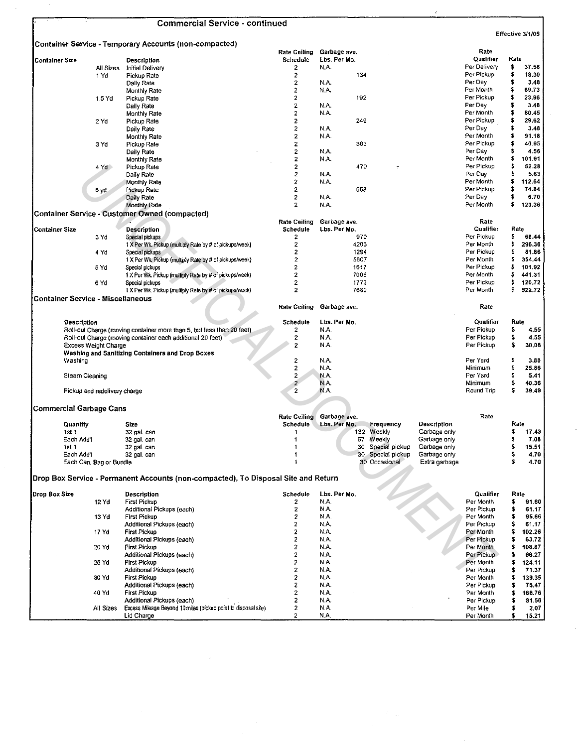|                                          |                              | <b>Commercial Service - continued</b>                                              |                         |              |              |                   |                              |              |        |                  |
|------------------------------------------|------------------------------|------------------------------------------------------------------------------------|-------------------------|--------------|--------------|-------------------|------------------------------|--------------|--------|------------------|
|                                          |                              | Container Service - Temporary Accounts (non-compacted)                             |                         |              |              |                   |                              |              |        | Effective 3/1/05 |
|                                          |                              |                                                                                    | <b>Rate Ceiling</b>     | Garbage ave. |              |                   |                              | Rate         |        |                  |
| <b>Container Size</b>                    |                              | Description                                                                        | Schedule                | Lbs. Per Mo. |              |                   |                              | Qualifier    | Rate   |                  |
|                                          | All Sizes                    | Initial Delivery                                                                   | 2                       | N.A.         |              |                   |                              | Per Delivery | \$     | 37.58            |
|                                          | 1 Yd                         | Pickup Rate                                                                        | 2                       |              | 134          |                   |                              | Per Pickup   | \$     | 18,30            |
|                                          |                              | Daily Rate                                                                         | 2                       | N.A.         |              |                   |                              | Per Day      | \$     | 3.48             |
|                                          |                              | Monthly Rate                                                                       | 2                       | N.A.         |              |                   |                              | Per Month    | \$     | 69.73            |
|                                          | 1.5 Yd                       | Pickup Rate                                                                        | 2                       |              | 192          |                   |                              | Per Pickup   | \$     | 23.96            |
|                                          |                              | Daily Rate                                                                         | 2                       | N.A.         |              |                   |                              | Per Day      | \$     | 3.48             |
|                                          |                              | Monthly Rate                                                                       | 2                       | N.A.         |              |                   |                              | Per Month    | s      | 80.45            |
|                                          | 2 Yd                         | Pickup Rate                                                                        | $\overline{2}$          |              | 249          |                   |                              | Per Pickup   | \$     | 29.62            |
|                                          |                              | Daily Rate                                                                         | $\boldsymbol{2}$        | N.A.         |              |                   |                              | Per Day      | \$     | 3.48             |
|                                          |                              | Monthly Rate                                                                       | 2                       | N.A.         |              |                   |                              | Per Month    | \$     | 91.18            |
|                                          | 3 Yd                         | Pickup Rate                                                                        | 2                       |              | 363          |                   |                              | Per Pickup   | \$     | 40.95            |
|                                          |                              | Daily Rate                                                                         | 2                       | N.A.         |              |                   |                              | Per Day      | \$     | 4.56             |
|                                          |                              | Monthly Rate                                                                       | 2                       | N.A.         |              |                   |                              | Per Month    | \$     | 101.91           |
|                                          | 4 Yd >                       | Pickup Rate                                                                        | 2                       |              | 470          |                   |                              | Per Pickup   | \$     | 52.28            |
|                                          |                              | Daily Rate                                                                         | 2                       | N.A.         |              |                   |                              | Per Day      | \$     | 5.63             |
|                                          |                              | Monthly Rate                                                                       | $\overline{c}$          | N.A.         |              |                   |                              | Per Month    | \$     | 112.64           |
|                                          | 6 yd                         | Pickup Rate                                                                        | $\overline{\mathbf{2}}$ |              | 558          |                   |                              | Per Pickup   | \$     | 74.84            |
|                                          |                              | Daily Rate                                                                         | $\mathbf 2$             | N.A.         |              |                   |                              | Per Day      | \$     | 6.70             |
|                                          |                              | <b>Monthly Rate</b>                                                                | $\overline{2}$          | N.A.         |              |                   |                              | Per Month    | \$     | 123.36           |
|                                          |                              | <b>Container Service - Customer Owned (compacted)</b>                              |                         |              |              |                   |                              |              |        |                  |
|                                          |                              |                                                                                    | Rate Ceiling            | Garbage ave. |              |                   |                              | Rate         |        |                  |
|                                          |                              |                                                                                    |                         |              |              |                   |                              | Qualifier    |        | Rate             |
| <b>Container Size</b>                    |                              | <b>Description</b><br>Special pickups                                              | Schedule<br>2           | Lbs. Per Mo. | 970          |                   |                              | Per Pickup   | s      | 68.44            |
|                                          | 3 Yd                         |                                                                                    |                         |              |              |                   |                              |              |        |                  |
|                                          |                              | 1 X Per Wk. Pickup (multiply Rate by # of pickups/week)                            | 2                       |              | 4203         |                   |                              | Per Month    | s<br>s | 296.36           |
|                                          | 4 Yd                         | Special pickups                                                                    | 2<br>$\overline{2}$     |              | 1294<br>5607 |                   |                              | Per Pickup   | s      | 81.86<br>354.44  |
|                                          |                              | 1 X Per Wk. Pickup (multiply Rate by # of pickups/week)                            |                         |              |              |                   |                              | Per Month    |        |                  |
|                                          | 5 Yd                         | Special pickups                                                                    | $\overline{2}$          |              | 1617         |                   |                              | Per Pickup   | \$     | 101.92           |
|                                          |                              | 1 X Per Wk. Pickup (multiply Rate by # of pickups/week)                            | $\overline{2}$          |              | 7006         |                   |                              | Per Month    | \$     | 441.31           |
|                                          | 6 Yd                         | Special pickups                                                                    | $\overline{2}$          |              | 1773         |                   |                              | Per Pickup   | \$     | 120.72           |
|                                          |                              | 1 X Per Wk. Pickup (multiply Rate by # of pickups/week)                            | $\overline{c}$          |              | 7682         |                   |                              | Per Month    | s      | 522.72           |
| <b>Container Service - Miscellaneous</b> |                              |                                                                                    |                         |              |              |                   |                              |              |        |                  |
|                                          |                              |                                                                                    | <b>Rate Ceiling</b>     | Garbage ave. |              |                   |                              | Rate         |        |                  |
|                                          |                              |                                                                                    |                         |              |              |                   |                              |              |        |                  |
| Description                              |                              |                                                                                    | Schedule                | Lbs. Per Mo. |              |                   |                              | Qualifier    |        | Rate             |
|                                          |                              | Roll-out Charge (moving container more than 5, but less than 20 feet)              | 2                       | N.A.         |              |                   |                              | Per Pickup   | \$     | 4.55             |
|                                          |                              | Roll-out Charge (moving container each additional 20 feet)                         | 2                       | N.A.         |              |                   |                              | Per Pickup   | s      | 4.55             |
|                                          | <b>Excess Weight Charge</b>  |                                                                                    | 2                       | N.A.         |              |                   |                              | Per Pickup   | \$     | 30.08            |
|                                          |                              | Washing and Sanitizing Containers and Drop Boxes                                   |                         |              |              |                   |                              |              |        |                  |
| Washing                                  |                              |                                                                                    | 2                       | N.A.         |              |                   |                              | Per Yard     | \$     | 3,88             |
|                                          |                              |                                                                                    | 2                       | N.A.         |              |                   |                              | Minimum      | \$     | 25.86            |
| Steam Cleaning                           |                              |                                                                                    | 2                       | N.A.         |              |                   |                              | Per Yard     | \$     | 5.41             |
|                                          |                              |                                                                                    | 2                       | N.A.         |              |                   |                              | Minimum      | \$     | 40.36            |
|                                          | Pickup and redelivery charge |                                                                                    | 2                       | N.A.         |              |                   |                              | Round Trip   | \$     | 39.49            |
|                                          |                              |                                                                                    |                         |              |              |                   |                              |              |        |                  |
| <b>Commercial Garbage Cans</b>           |                              |                                                                                    |                         |              |              |                   |                              |              |        |                  |
|                                          |                              |                                                                                    | Rate Ceiling            | Garbage ave. |              |                   |                              | Rate         |        |                  |
|                                          |                              |                                                                                    | Schedule                | Lbs. Per Mo. |              | Frequency         | Description                  |              |        | Rate             |
| Quantity<br>1st 1                        |                              | Size                                                                               |                         |              | 132          | Weekly            |                              |              | \$     | 17.43            |
| Each Add'l                               |                              | 32 gal. can                                                                        | 1<br>$\mathbf{1}$       |              |              | 67 Weekly         | Garbage only<br>Garbage only |              | s      | 7.08             |
| ist i                                    |                              | 32 gal. can<br>32 gal. can                                                         | 1                       |              |              | 30 Special pickup | Garbage only                 |              | Ş      | 15.51            |
| Each Add'l                               |                              |                                                                                    | 1                       |              |              | 30 Special pickup | Garbage only                 |              | \$     | 4.70             |
|                                          | Each Can, Bag or Bundle      | 32 gal. can                                                                        | $\ddot{\phantom{1}}$    |              |              | 30 Occasional     | Extra garbage                |              | \$     | 4.70             |
|                                          |                              |                                                                                    |                         |              |              |                   |                              |              |        |                  |
|                                          |                              | Drop Box Service - Permanent Accounts (non-compacted), To Disposal Site and Return |                         |              |              |                   |                              |              |        |                  |
|                                          |                              |                                                                                    |                         |              |              |                   |                              |              |        |                  |
| Dron Box Size                            |                              | <b>Description</b>                                                                 | Schedule                | Lbs. Per Mo. |              |                   |                              | Qualifier    |        | Rate             |
|                                          | 12 Yd                        | First Pickup                                                                       | 2                       | N.A.         |              |                   |                              | Per Month    | \$     | 91.60            |
|                                          |                              | Additional Pickups (each)                                                          | 2                       | N.A.         |              |                   |                              | Per Pickup   | \$     | 61.17            |
|                                          | 13 Yd                        | <b>First Pickup</b>                                                                | $\overline{\mathbf{c}}$ | N.A.         |              |                   |                              | Per Month    | s      | 95.66            |
|                                          |                              | Additional Pickups (each)                                                          | 2                       | N.A.         |              |                   |                              | Per Pickup   | \$     | 61.17            |
|                                          | 17 Yd                        | <b>First Pickup</b>                                                                | 2                       | N.A.         |              |                   |                              | Per Month    | \$     | 102.26           |
|                                          |                              | Additional Pickups (each)                                                          | $\overline{2}$          | N.A.         |              |                   |                              | Per Pickup   | \$     | 63.72            |
|                                          | 20 Yd                        | <b>First Pickup</b>                                                                | 2                       | N.A.         |              |                   |                              | Per Month    | \$     | 108.87           |
|                                          |                              | Additional Pickups (each)                                                          | 2                       | N.A.         |              |                   |                              | Per Pickup   | \$     | 66.27            |
|                                          | 25 Yd                        | <b>First Pickup</b>                                                                | $\overline{\mathbf{z}}$ | N.A.         |              |                   |                              | Per Month    | \$     | 124.11           |
|                                          |                              | Additional Pickups (each)                                                          | 2                       | N.A.         |              |                   |                              | Per Pickup   | \$     | 71.37            |
|                                          | 30 Yd                        | First Pickup                                                                       | 2                       | N.A.         |              |                   |                              | Per Month    | 5      | 139.35           |
|                                          |                              | Additional Pickups (each)                                                          | 2                       | N.A.         |              |                   |                              | Per Pickup   | s      | 76.47            |
|                                          | 40 Yd                        | First Pickup                                                                       | 2                       | N.A.         |              |                   |                              | Per Month    | s      | 166.76           |
|                                          |                              | Additional Pickups (each)                                                          | 2                       | N.A.         |              |                   |                              | Per Pickup   | s      | 81.56            |
|                                          | All Sizes                    | Excess Mileage Beyond 10 miles (pickup point to disposal site)                     | 2                       | N.A.         |              |                   |                              | Per Mile     | s      | 2.07             |
|                                          |                              |                                                                                    |                         |              |              |                   |                              |              |        |                  |
|                                          |                              | Lid Charge                                                                         | 2                       | N.A.         |              |                   |                              | Per Month    | \$     | 15.21            |

 $\mathcal{L}^{\text{max}}_{\text{max}}$  and  $\mathcal{L}^{\text{max}}_{\text{max}}$ 

 $\label{eq:2} \begin{split} \mathcal{L}_{\text{eff}}(\mathbf{r}) = \frac{1}{2} \sum_{i=1}^{N} \mathcal{L}_{\text{eff}}(\mathbf{r}) \mathcal{L}_{\text{eff}}(\mathbf{r}) \,, \end{split}$ 

 $\ddot{\phantom{0}}$